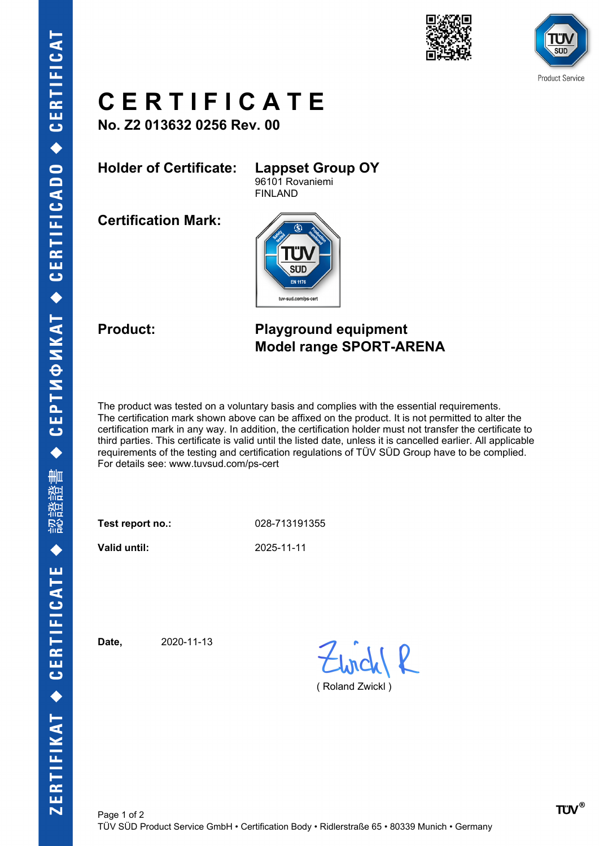



## **C E R T I F I C A T E**

**No. Z2 013632 0256 Rev. 00**

**Holder of Certificate: Lappset Group OY**

96101 Rovaniemi

**Certification Mark:**



FINLAND

### **Product: Playground equipment Model range SPORT-ARENA**

The product was tested on a voluntary basis and complies with the essential requirements. The certification mark shown above can be affixed on the product. It is not permitted to alter the certification mark in any way. In addition, the certification holder must not transfer the certificate to third parties. This certificate is valid until the listed date, unless it is cancelled earlier. All applicable requirements of the testing and certification regulations of TÜV SÜD Group have to be complied. For details see: www.tuvsud.com/ps-cert

**Test report no.:** 028-713191355

**Valid until:** 2025-11-11

**Date,** 2020-11-13

( Roland Zwickl )